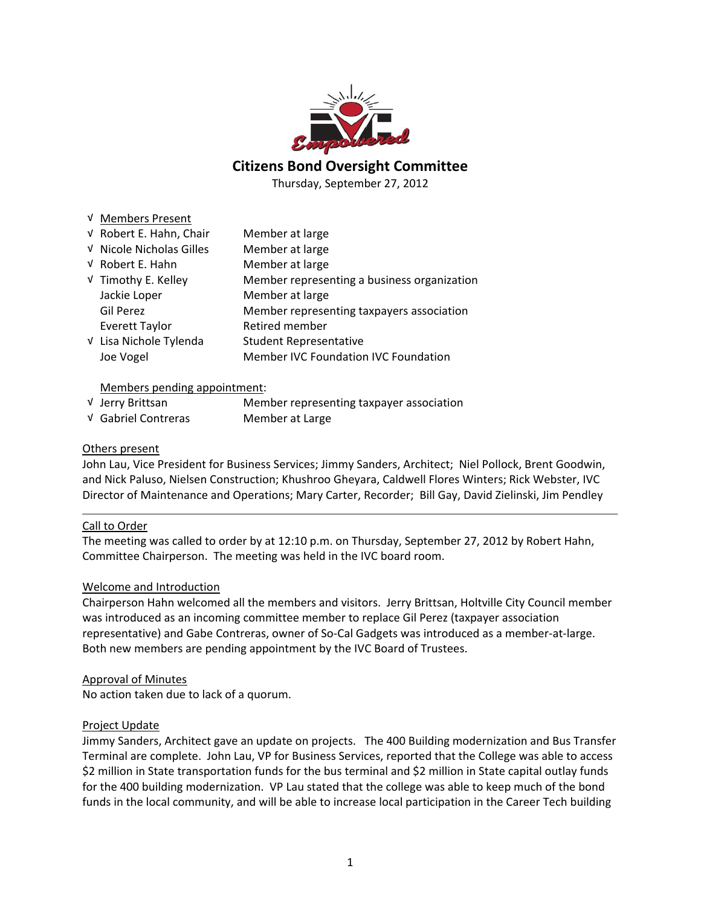

# **Citizens Bond Oversight Committee**

Thursday, September 27, 2012

### √ Members Present

| V Robert E. Hahn, Chair  | Member at large                             |
|--------------------------|---------------------------------------------|
| √ Nicole Nicholas Gilles | Member at large                             |
| V Robert E. Hahn         | Member at large                             |
| √ Timothy E. Kelley      | Member representing a business organization |
| Jackie Loper             | Member at large                             |
| Gil Perez                | Member representing taxpayers association   |
| <b>Everett Taylor</b>    | Retired member                              |
| V Lisa Nichole Tylenda   | <b>Student Representative</b>               |
| Joe Vogel                | Member IVC Foundation IVC Foundation        |

# Members pending appointment:

| √ Jerry Brittsan    | Member representing taxpayer association |
|---------------------|------------------------------------------|
| √ Gabriel Contreras | Member at Large                          |

# Others present

John Lau, Vice President for Business Services; Jimmy Sanders, Architect; Niel Pollock, Brent Goodwin, and Nick Paluso, Nielsen Construction; Khushroo Gheyara, Caldwell Flores Winters; Rick Webster, IVC Director of Maintenance and Operations; Mary Carter, Recorder; Bill Gay, David Zielinski, Jim Pendley

# Call to Order

The meeting was called to order by at 12:10 p.m. on Thursday, September 27, 2012 by Robert Hahn, Committee Chairperson. The meeting was held in the IVC board room.

# Welcome and Introduction

Chairperson Hahn welcomed all the members and visitors. Jerry Brittsan, Holtville City Council member was introduced as an incoming committee member to replace Gil Perez (taxpayer association representative) and Gabe Contreras, owner of So‐Cal Gadgets was introduced as a member‐at‐large. Both new members are pending appointment by the IVC Board of Trustees.

#### Approval of Minutes

No action taken due to lack of a quorum.

#### Project Update

Jimmy Sanders, Architect gave an update on projects. The 400 Building modernization and Bus Transfer Terminal are complete. John Lau, VP for Business Services, reported that the College was able to access \$2 million in State transportation funds for the bus terminal and \$2 million in State capital outlay funds for the 400 building modernization. VP Lau stated that the college was able to keep much of the bond funds in the local community, and will be able to increase local participation in the Career Tech building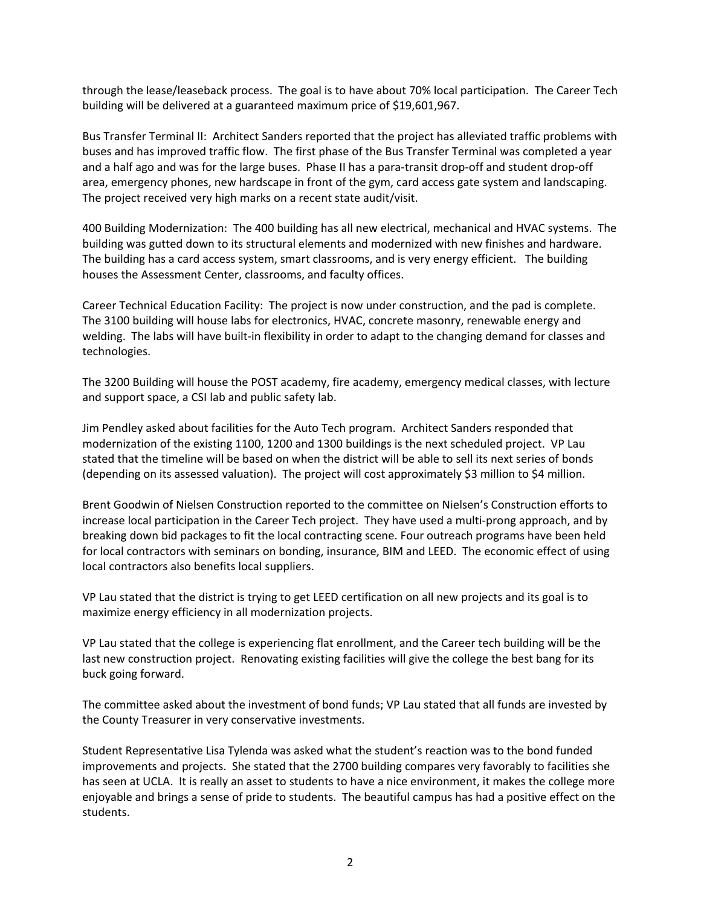through the lease/leaseback process. The goal is to have about 70% local participation. The Career Tech building will be delivered at a guaranteed maximum price of \$19,601,967.

Bus Transfer Terminal II: Architect Sanders reported that the project has alleviated traffic problems with buses and has improved traffic flow. The first phase of the Bus Transfer Terminal was completed a year and a half ago and was for the large buses. Phase II has a para-transit drop-off and student drop-off area, emergency phones, new hardscape in front of the gym, card access gate system and landscaping. The project received very high marks on a recent state audit/visit.

400 Building Modernization: The 400 building has all new electrical, mechanical and HVAC systems. The building was gutted down to its structural elements and modernized with new finishes and hardware. The building has a card access system, smart classrooms, and is very energy efficient. The building houses the Assessment Center, classrooms, and faculty offices.

Career Technical Education Facility: The project is now under construction, and the pad is complete. The 3100 building will house labs for electronics, HVAC, concrete masonry, renewable energy and welding. The labs will have built-in flexibility in order to adapt to the changing demand for classes and technologies.

The 3200 Building will house the POST academy, fire academy, emergency medical classes, with lecture and support space, a CSI lab and public safety lab.

Jim Pendley asked about facilities for the Auto Tech program. Architect Sanders responded that modernization of the existing 1100, 1200 and 1300 buildings is the next scheduled project. VP Lau stated that the timeline will be based on when the district will be able to sell its next series of bonds (depending on its assessed valuation). The project will cost approximately \$3 million to \$4 million.

Brent Goodwin of Nielsen Construction reported to the committee on Nielsen's Construction efforts to increase local participation in the Career Tech project. They have used a multi‐prong approach, and by breaking down bid packages to fit the local contracting scene. Four outreach programs have been held for local contractors with seminars on bonding, insurance, BIM and LEED. The economic effect of using local contractors also benefits local suppliers.

VP Lau stated that the district is trying to get LEED certification on all new projects and its goal is to maximize energy efficiency in all modernization projects.

VP Lau stated that the college is experiencing flat enrollment, and the Career tech building will be the last new construction project. Renovating existing facilities will give the college the best bang for its buck going forward.

The committee asked about the investment of bond funds; VP Lau stated that all funds are invested by the County Treasurer in very conservative investments.

Student Representative Lisa Tylenda was asked what the student's reaction was to the bond funded improvements and projects. She stated that the 2700 building compares very favorably to facilities she has seen at UCLA. It is really an asset to students to have a nice environment, it makes the college more enjoyable and brings a sense of pride to students. The beautiful campus has had a positive effect on the students.